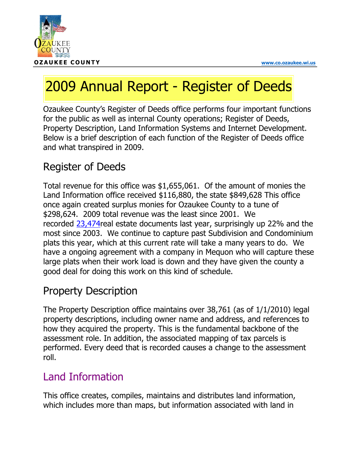

# 2009 Annual Report - Register of Deeds

Ozaukee County's Register of Deeds office performs four important functions for the public as well as internal County operations; Register of Deeds, Property Description, Land Information Systems and Internet Development. Below is a brief description of each function of the Register of Deeds office and what transpired in 2009.

# Register of Deeds

Total revenue for this office was \$1,655,061. Of the amount of monies the Land Information office received \$116,880, the state \$849,628 This office once again created surplus monies for Ozaukee County to a tune of \$298,624. 2009 total revenue was the least since 2001. We recorded 23,474real estate documents last year, surprisingly up 22% and the most since 2003. We continue to capture past Subdivision and Condominium plats this year, which at this current rate will take a many years to do. We have a ongoing agreement with a company in Mequon who will capture these large plats when their work load is down and they have given the county a good deal for doing this work on this kind of schedule.

## Property Description

The Property Description office maintains over 38,761 (as of 1/1/2010) legal property descriptions, including owner name and address, and references to how they acquired the property. This is the fundamental backbone of the assessment role. In addition, the associated mapping of tax parcels is performed. Every deed that is recorded causes a change to the assessment roll.

### Land Information

This office creates, compiles, maintains and distributes land information, which includes more than maps, but information associated with land in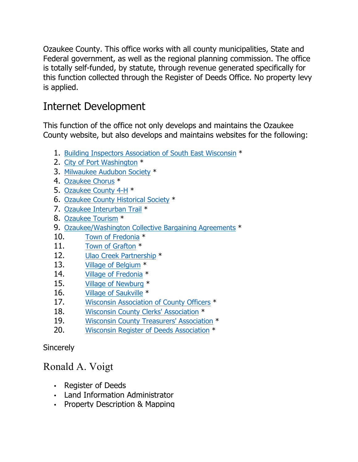Ozaukee County. This office works with all county municipalities, State and Federal government, as well as the regional planning commission. The office is totally self-funded, by statute, through revenue generated specifically for this function collected through the Register of Deeds Office. No property levy is applied.

#### Internet Development

This function of the office not only develops and maintains the Ozaukee County website, but also develops and maintains websites for the following:

- 1. Building Inspectors Association of South East Wisconsin \*
- 2. City of Port Washington \*
- 3. Milwaukee Audubon Society \*
- 4. Ozaukee Chorus \*
- 5. Ozaukee County 4-H \*
- 6. Ozaukee County Historical Society \*
- 7. Ozaukee Interurban Trail \*
- 8. Ozaukee Tourism \*
- 9. Ozaukee/Washington Collective Bargaining Agreements \*
- 10. Town of Fredonia \*
- 11. Town of Grafton \*
- 12. Ulao Creek Partnership \*
- 13. Village of Belgium \*
- 14. Village of Fredonia \*
- 15. Village of Newburg \*
- 16. Village of Saukville \*
- 17. Wisconsin Association of County Officers \*
- 18. Wisconsin County Clerks' Association \*
- 19. Wisconsin County Treasurers' Association \*
- 20. Wisconsin Register of Deeds Association \*

**Sincerely** 

#### Ronald A. Voigt

- Register of Deeds
- Land Information Administrator
- Property Description & Mapping